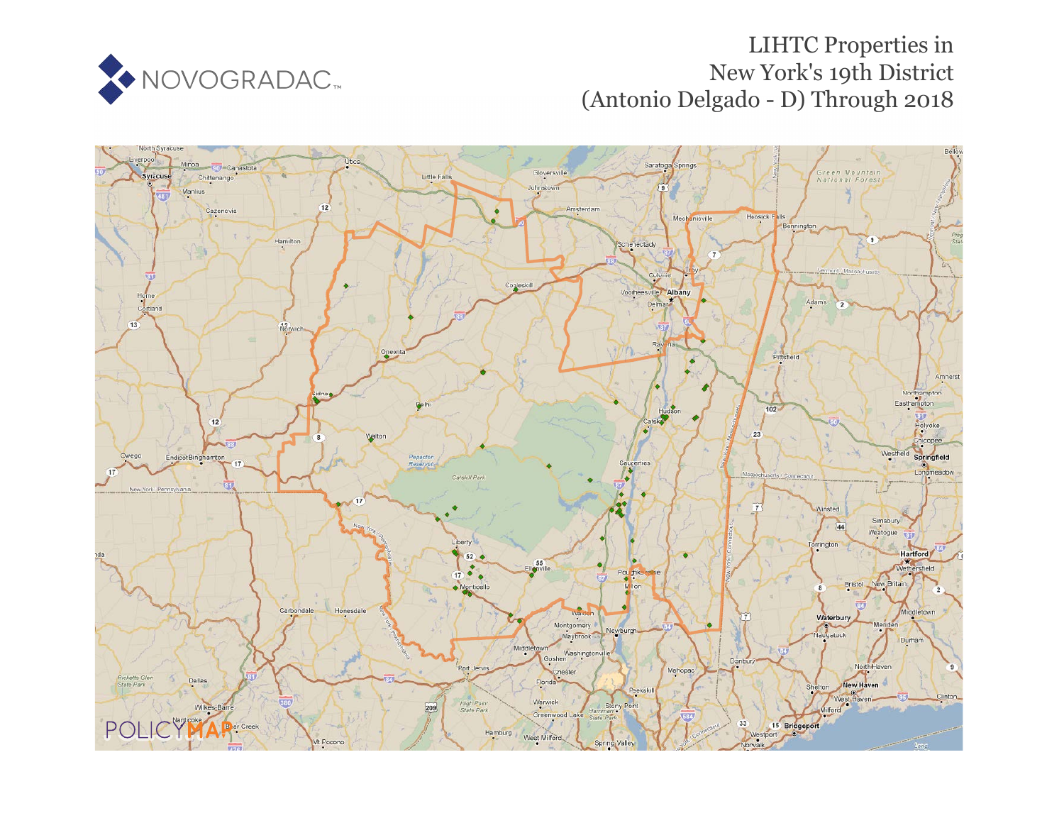

# LIHTC Properties in New York's 19th District (Antonio Delgado - D) Through 2018

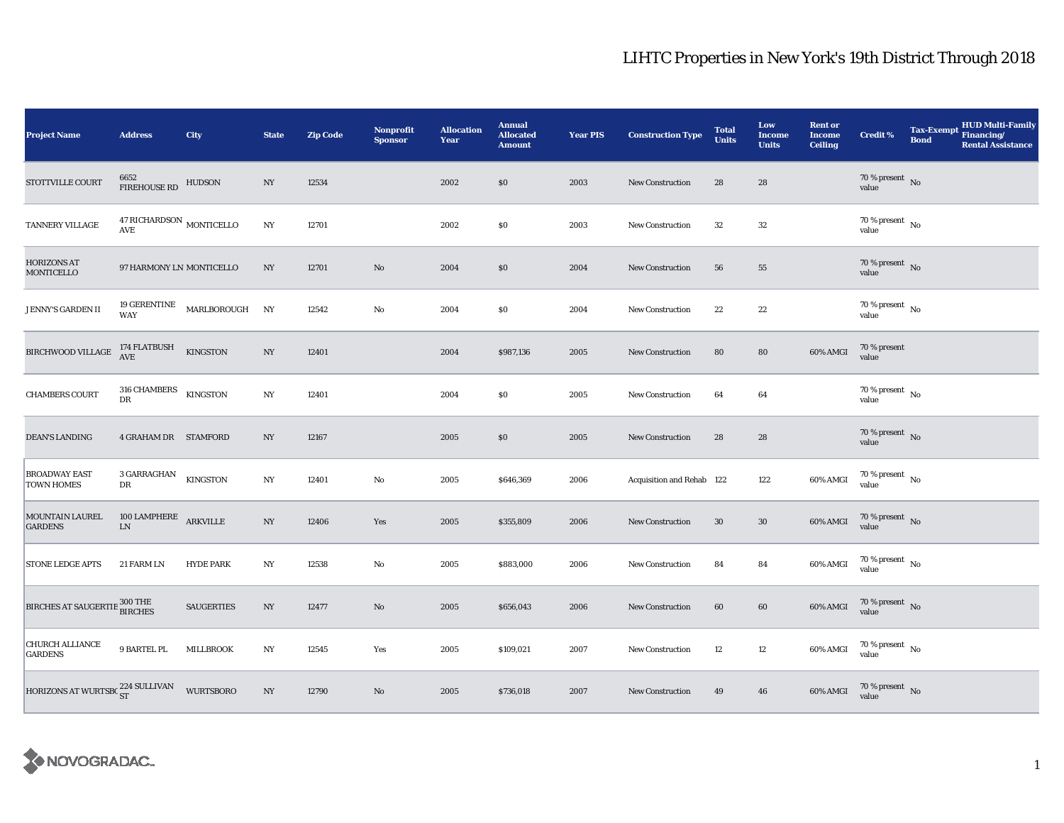| <b>Project Name</b>                       | <b>Address</b>                           | <b>City</b>       | <b>State</b>     | <b>Zip Code</b> | <b>Nonprofit</b><br><b>Sponsor</b> | <b>Allocation</b><br>Year | <b>Annual</b><br><b>Allocated</b><br><b>Amount</b> | <b>Year PIS</b> | <b>Construction Type</b>  | <b>Total</b><br><b>Units</b> | Low<br><b>Income</b><br><b>Units</b> | <b>Rent or</b><br><b>Income</b><br><b>Ceiling</b> | <b>Credit %</b>                        | <b>HUD Multi-Family</b><br><b>Tax-Exempt</b><br>Financing/<br><b>Bond</b><br><b>Rental Assistance</b> |
|-------------------------------------------|------------------------------------------|-------------------|------------------|-----------------|------------------------------------|---------------------------|----------------------------------------------------|-----------------|---------------------------|------------------------------|--------------------------------------|---------------------------------------------------|----------------------------------------|-------------------------------------------------------------------------------------------------------|
| STOTTVILLE COURT                          | 6652<br>FIREHOUSE RD                     | <b>HUDSON</b>     | $_{\mathrm{NY}}$ | 12534           |                                    | 2002                      | \$0                                                | 2003            | New Construction          | 28                           | 28                                   |                                                   | $70\,\%$ present $${\rm No}$$ value    |                                                                                                       |
| TANNERY VILLAGE                           | 47 RICHARDSON $_{\rm MONTICELLO}$<br>AVE |                   | $_{\mathrm{NY}}$ | 12701           |                                    | 2002                      | \$0                                                | 2003            | New Construction          | $32\,$                       | $32\,$                               |                                                   | $70\,\%$ present $\,$ No $\,$<br>value |                                                                                                       |
| <b>HORIZONS AT</b><br>MONTICELLO          | 97 HARMONY LN MONTICELLO                 |                   | NY               | 12701           | $\rm No$                           | 2004                      | \$0                                                | 2004            | New Construction          | 56                           | 55                                   |                                                   | $70\,\%$ present $\,$ No value         |                                                                                                       |
| <b>JENNY'S GARDEN II</b>                  | 19 GERENTINE<br>WAY                      | MARLBOROUGH       | NY               | 12542           | No                                 | 2004                      | \$0                                                | 2004            | <b>New Construction</b>   | 22                           | 22                                   |                                                   | 70 % present $\hbox{~No}$<br>value     |                                                                                                       |
| BIRCHWOOD VILLAGE                         | 174 FLATBUSH<br>AVE                      | <b>KINGSTON</b>   | $_{\mathrm{NY}}$ | 12401           |                                    | 2004                      | \$987,136                                          | 2005            | New Construction          | 80                           | 80                                   | 60% AMGI                                          | 70 % present<br>value                  |                                                                                                       |
| <b>CHAMBERS COURT</b>                     | 316 CHAMBERS<br>DR                       | <b>KINGSTON</b>   | $_{\mathrm{NY}}$ | 12401           |                                    | 2004                      | \$0                                                | 2005            | <b>New Construction</b>   | 64                           | 64                                   |                                                   | $70$ % present $\,$ No $\,$<br>value   |                                                                                                       |
| DEAN'S LANDING                            | <b>4 GRAHAM DR STAMFORD</b>              |                   | NY               | 12167           |                                    | 2005                      | \$0                                                | 2005            | <b>New Construction</b>   | 28                           | $\bf 28$                             |                                                   | $70\,\%$ present $\,$ No value         |                                                                                                       |
| <b>BROADWAY EAST</b><br><b>TOWN HOMES</b> | 3 GARRAGHAN<br>DR                        | <b>KINGSTON</b>   | $_{\mathrm{NY}}$ | 12401           | $\rm No$                           | 2005                      | \$646,369                                          | 2006            | Acquisition and Rehab 122 |                              | 122                                  | 60% AMGI                                          | $70\,\%$ present $\,$ No value         |                                                                                                       |
| MOUNTAIN LAUREL<br><b>GARDENS</b>         | 100 LAMPHERE ARKVILLE<br>${\rm LN}$      |                   | $_{\mathrm{NY}}$ | 12406           | Yes                                | 2005                      | \$355,809                                          | 2006            | New Construction          | 30                           | $30\,$                               | 60% AMGI                                          | $70\,\%$ present $\,$ No value         |                                                                                                       |
| <b>STONE LEDGE APTS</b>                   | 21 FARM LN                               | <b>HYDE PARK</b>  | NY               | 12538           | No                                 | 2005                      | \$883,000                                          | 2006            | New Construction          | 84                           | 84                                   | 60% AMGI                                          | $70\,\%$ present $\,$ No value         |                                                                                                       |
| BIRCHES AT SAUGERTIE 300 THE              |                                          | <b>SAUGERTIES</b> | NY               | 12477           | No                                 | 2005                      | \$656,043                                          | 2006            | <b>New Construction</b>   | 60                           | 60                                   | 60% AMGI                                          | $70\,\%$ present $\,$ No value         |                                                                                                       |
| <b>CHURCH ALLIANCE</b><br><b>GARDENS</b>  | 9 BARTEL PL                              | <b>MILLBROOK</b>  | $_{\mathrm{NY}}$ | 12545           | Yes                                | 2005                      | \$109,021                                          | 2007            | New Construction          | 12                           | $12\,$                               | 60% AMGI                                          | $70\,\%$ present $\,$ No value         |                                                                                                       |
| HORIZONS AT WURTSBC ST                    |                                          | <b>WURTSBORO</b>  | $_{\mathrm{NY}}$ | 12790           | $\rm No$                           | 2005                      | \$736,018                                          | 2007            | <b>New Construction</b>   | 49                           | 46                                   | 60% AMGI                                          | 70 % present<br>value No               |                                                                                                       |

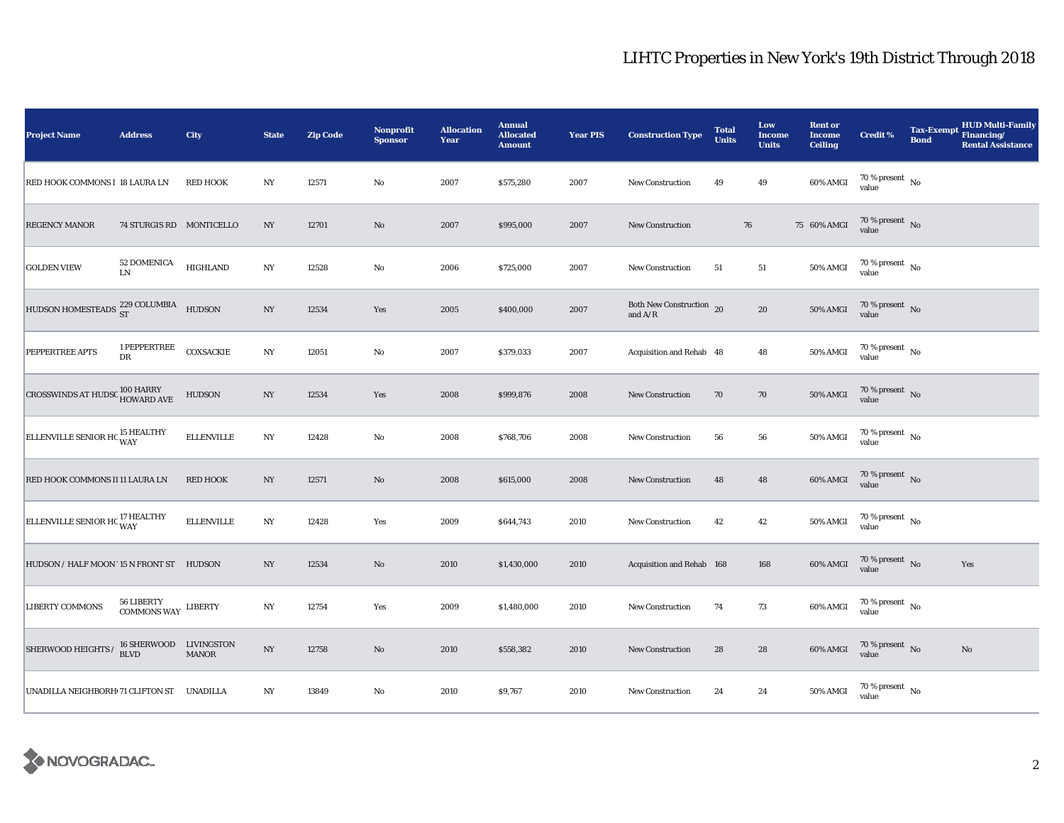| <b>Project Name</b>                                | <b>Address</b>                    | City              | <b>State</b>     | <b>Zip Code</b> | <b>Nonprofit</b><br><b>Sponsor</b> | <b>Allocation</b><br>Year | <b>Annual</b><br><b>Allocated</b><br><b>Amount</b> | <b>Year PIS</b> | <b>Construction Type</b>                                                          | <b>Total</b><br><b>Units</b> | Low<br><b>Income</b><br><b>Units</b> | <b>Rent or</b><br><b>Income</b><br><b>Ceiling</b> | <b>Credit %</b>                      | <b>Bond</b> | <b>HUD Multi-Family</b><br>Tax-Exempt Financing/<br><b>Rental Assistance</b> |
|----------------------------------------------------|-----------------------------------|-------------------|------------------|-----------------|------------------------------------|---------------------------|----------------------------------------------------|-----------------|-----------------------------------------------------------------------------------|------------------------------|--------------------------------------|---------------------------------------------------|--------------------------------------|-------------|------------------------------------------------------------------------------|
| RED HOOK COMMONS I 18 LAURA LN                     |                                   | <b>RED HOOK</b>   | NY               | 12571           | $\rm No$                           | 2007                      | \$575,280                                          | 2007            | New Construction                                                                  | 49                           | 49                                   | 60% AMGI                                          | 70 % present $\hbox{~No}$<br>value   |             |                                                                              |
| <b>REGENCY MANOR</b>                               | 74 STURGIS RD MONTICELLO          |                   | $_{\mathrm{NY}}$ | 12701           | $\rm No$                           | 2007                      | \$995,000                                          | 2007            | <b>New Construction</b>                                                           |                              | 76                                   | 75 60% AMGI                                       | $70$ % present $\,$ No $\,$<br>value |             |                                                                              |
| <b>GOLDEN VIEW</b>                                 | 52 DOMENICA<br>${\rm LN}$         | <b>HIGHLAND</b>   | $_{\mathrm{NY}}$ | 12528           | $\rm No$                           | 2006                      | \$725,000                                          | 2007            | New Construction                                                                  | 51                           | ${\bf 51}$                           | 50% AMGI                                          | $70\,\%$ present $\,$ No value       |             |                                                                              |
| HUDSON HOMESTEADS $^{229}_{ST}$ COLUMBIA HUDSON    |                                   |                   | $_{\mathrm{NY}}$ | 12534           | Yes                                | 2005                      | \$400,000                                          | 2007            | Both New Construction 20<br>and $\ensuremath{\mathrm{A}}/\ensuremath{\mathrm{R}}$ |                              | ${\bf 20}$                           | 50% AMGI                                          | $70\,\%$ present $\,$ No value       |             |                                                                              |
| PEPPERTREE APTS                                    | 1 PEPPERTREE<br>DR                | COXSACKIE         | $_{\mathrm{NY}}$ | 12051           | $\rm No$                           | 2007                      | \$379,033                                          | 2007            | Acquisition and Rehab 48                                                          |                              | 48                                   | 50% AMGI                                          | 70 % present $\hbox{~No}$<br>value   |             |                                                                              |
| <b>CROSSWINDS AT HUDSC 100 HARRY</b><br>HOWARD AVE |                                   | <b>HUDSON</b>     | $_{\mathrm{NY}}$ | 12534           | Yes                                | 2008                      | \$999,876                                          | 2008            | <b>New Construction</b>                                                           | 70                           | $70\,$                               | 50% AMGI                                          | $70\,\%$ present $_{\rm{No}}$        |             |                                                                              |
| ELLENVILLE SENIOR HC <sup>15</sup> HEALTHY         |                                   | <b>ELLENVILLE</b> | $_{\mathrm{NY}}$ | 12428           | $\rm No$                           | 2008                      | \$768,706                                          | 2008            | <b>New Construction</b>                                                           | 56                           | ${\bf 56}$                           | 50% AMGI                                          | $70\,\%$ present $\,$ No value       |             |                                                                              |
| RED HOOK COMMONS II 11 LAURA LN                    |                                   | <b>RED HOOK</b>   | $_{\mathrm{NY}}$ | 12571           | $\rm No$                           | 2008                      | \$615,000                                          | 2008            | <b>New Construction</b>                                                           | 48                           | 48                                   | 60% AMGI                                          | $70\,\%$ present $\,$ No value       |             |                                                                              |
| ELLENVILLE SENIOR HC <sup>17</sup> HEALTHY         |                                   | <b>ELLENVILLE</b> | NY               | 12428           | Yes                                | 2009                      | \$644,743                                          | 2010            | New Construction                                                                  | 42                           | 42                                   | 50% AMGI                                          | $70$ % present $\,$ No $\,$<br>value |             |                                                                              |
| HUDSON / HALF MOON '15 N FRONT ST HUDSON           |                                   |                   | NY               | 12534           | $\mathbf{N}\mathbf{o}$             | 2010                      | \$1,430,000                                        | 2010            | Acquisition and Rehab 168                                                         |                              | 168                                  | 60% AMGI                                          | $70\,\%$ present $\,$ No value       |             | Yes                                                                          |
| <b>LIBERTY COMMONS</b>                             | 56 LIBERTY<br>COMMONS WAY LIBERTY |                   | NY               | 12754           | Yes                                | 2009                      | \$1,480,000                                        | 2010            | New Construction                                                                  | 74                           | 73                                   | 60% AMGI                                          | 70 % present $\hbox{~No}$<br>value   |             |                                                                              |
| SHERWOOD HEIGHTS / 16 SHERWOOD LIVINGSTON          | <b>BLVD</b>                       | <b>MANOR</b>      | $_{\mathrm{NY}}$ | 12758           | $\mathbf{N}\mathbf{o}$             | 2010                      | \$558,382                                          | 2010            | New Construction                                                                  | 28                           | 28                                   | 60% AMGI                                          | $70\,\%$ present $\,$ No value       |             | $\rm No$                                                                     |
| UNADILLA NEIGHBORH 71 CLIFTON ST UNADILLA          |                                   |                   | NY               | 13849           | $\mathbf{No}$                      | 2010                      | \$9,767                                            | 2010            | New Construction                                                                  | 24                           | 24                                   | 50% AMGI                                          | $70$ % present $\,$ No $\,$<br>value |             |                                                                              |

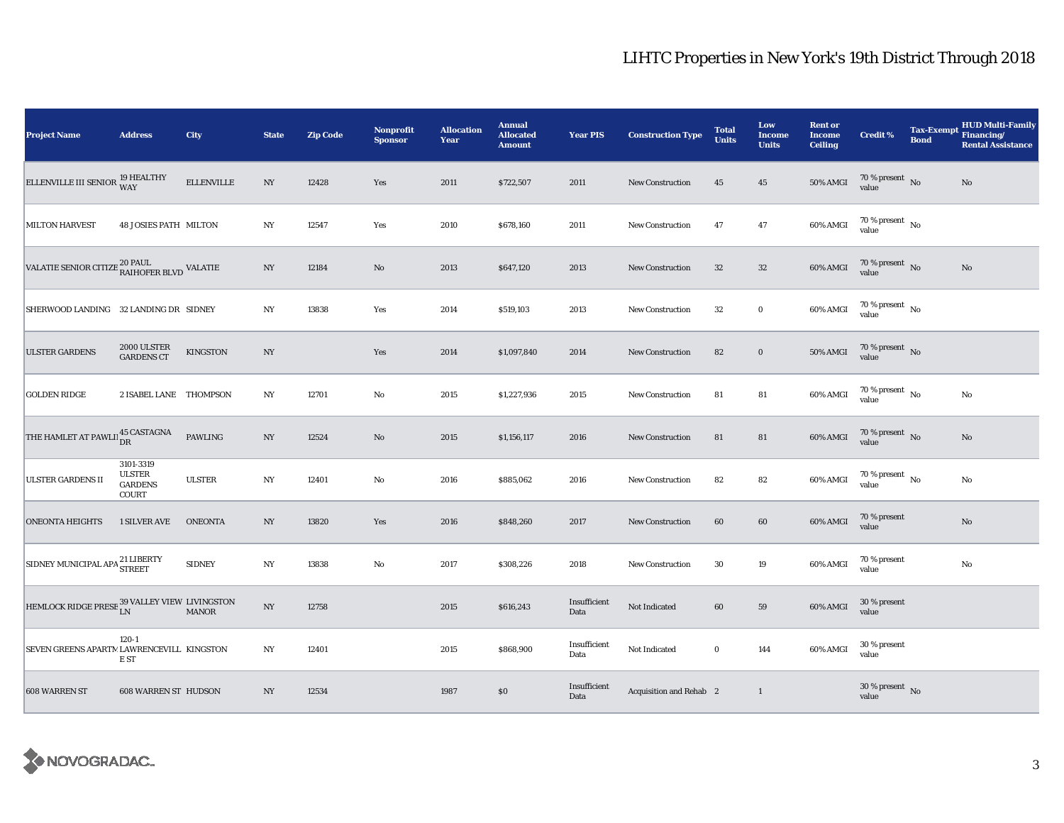| <b>Project Name</b>                                                      | <b>Address</b>                                               | City              | <b>State</b>     | <b>Zip Code</b> | Nonprofit<br><b>Sponsor</b> | <b>Allocation</b><br>Year | <b>Annual</b><br><b>Allocated</b><br><b>Amount</b> | <b>Year PIS</b>      | <b>Construction Type</b> | <b>Total</b><br><b>Units</b> | Low<br><b>Income</b><br><b>Units</b> | <b>Rent or</b><br><b>Income</b><br><b>Ceiling</b> | <b>Credit %</b>                        | <b>Bond</b> | <b>HUD Multi-Family</b><br>Tax-Exempt Financing/<br><b>Rental Assistance</b> |
|--------------------------------------------------------------------------|--------------------------------------------------------------|-------------------|------------------|-----------------|-----------------------------|---------------------------|----------------------------------------------------|----------------------|--------------------------|------------------------------|--------------------------------------|---------------------------------------------------|----------------------------------------|-------------|------------------------------------------------------------------------------|
| ELLENVILLE III SENIOR $^{19\, \rm HEALTHY}_{\rm WAY}$                    |                                                              | <b>ELLENVILLE</b> | $_{\mathrm{NY}}$ | 12428           | Yes                         | 2011                      | \$722,507                                          | 2011                 | New Construction         | 45                           | 45                                   | <b>50% AMGI</b>                                   | $70\,\%$ present $\,$ No value         |             | No                                                                           |
| <b>MILTON HARVEST</b>                                                    | <b>48 JOSIES PATH MILTON</b>                                 |                   | $_{\mathrm{NY}}$ | 12547           | Yes                         | 2010                      | \$678,160                                          | 2011                 | <b>New Construction</b>  | 47                           | 47                                   | 60% AMGI                                          | $70\,\%$ present $\,$ No $\,$<br>value |             |                                                                              |
| VALATIE SENIOR CITIZE $^{20\, \rm{PAUL}}_{\rm{RAIHOFER\, BLVD}}$ VALATIE |                                                              |                   | NY               | 12184           | $\rm No$                    | 2013                      | \$647,120                                          | 2013                 | <b>New Construction</b>  | $32\,$                       | $32\,$                               | 60% AMGI                                          | $70\,\%$ present $\,$ No value         |             | $\mathbf{N}\mathbf{o}$                                                       |
| SHERWOOD LANDING 32 LANDING DR SIDNEY                                    |                                                              |                   | $_{\mathrm{NY}}$ | 13838           | Yes                         | 2014                      | \$519,103                                          | 2013                 | New Construction         | 32                           | $\bf{0}$                             | 60% AMGI                                          | 70 % present $\hbox{~No}$<br>value     |             |                                                                              |
| <b>ULSTER GARDENS</b>                                                    | 2000 ULSTER<br><b>GARDENS CT</b>                             | KINGSTON          | NY               |                 | Yes                         | 2014                      | \$1,097,840                                        | 2014                 | New Construction         | 82                           | $\bf{0}$                             | $50\%$ AMGI                                       | $70\,\%$ present $${\rm No}$$ value    |             |                                                                              |
| <b>GOLDEN RIDGE</b>                                                      | 2 ISABEL LANE THOMPSON                                       |                   | $_{\mathrm{NY}}$ | 12701           | No                          | 2015                      | \$1,227,936                                        | 2015                 | <b>New Construction</b>  | 81                           | 81                                   | 60% AMGI                                          | 70 % present $\hbox{~No}$<br>value     |             | No                                                                           |
| THE HAMLET AT PAWLI 45 CASTAGNA                                          |                                                              | PAWLING           | $_{\mathrm{NY}}$ | 12524           | $\rm No$                    | 2015                      | \$1,156,117                                        | 2016                 | <b>New Construction</b>  | 81                           | ${\bf 81}$                           | 60% AMGI                                          | $70\,\%$ present $\,$ No value         |             | $\mathbf{N}\mathbf{o}$                                                       |
| <b>ULSTER GARDENS II</b>                                                 | 3101-3319<br><b>ULSTER</b><br><b>GARDENS</b><br><b>COURT</b> | <b>ULSTER</b>     | $_{\mathrm{NY}}$ | 12401           | No                          | 2016                      | \$885,062                                          | 2016                 | New Construction         | 82                           | 82                                   | 60% AMGI                                          | $70\,\%$ present $\,$ No value         |             | No                                                                           |
| <b>ONEONTA HEIGHTS</b>                                                   | <b>1 SILVER AVE</b>                                          | <b>ONEONTA</b>    | $_{\mathrm{NY}}$ | 13820           | Yes                         | 2016                      | \$848,260                                          | 2017                 | New Construction         | 60                           | 60                                   | 60% AMGI                                          | 70 % present<br>value                  |             | $\rm No$                                                                     |
| SIDNEY MUNICIPAL APA <sup>21</sup> LIBERTY                               |                                                              | <b>SIDNEY</b>     | $_{\mathrm{NY}}$ | 13838           | No                          | 2017                      | \$308,226                                          | 2018                 | New Construction         | 30                           | 19                                   | 60% AMGI                                          | 70 % present<br>value                  |             | No                                                                           |
| HEMLOCK RIDGE PRESE ${}^{39}_{\rm LN}$ VALLEY VIEW LIVINGSTON MANOR      |                                                              |                   | $_{\mathrm{NY}}$ | 12758           |                             | 2015                      | \$616,243                                          | Insufficient<br>Data | Not Indicated            | 60                           | 59                                   | 60% AMGI                                          | 30 % present<br>value                  |             |                                                                              |
| SEVEN GREENS APARTM LAWRENCEVILL KINGSTON                                | $120 - 1$<br>E ST                                            |                   | $_{\mathrm{NY}}$ | 12401           |                             | 2015                      | \$868,900                                          | Insufficient<br>Data | Not Indicated            | $\bf{0}$                     | 144                                  | 60% AMGI                                          | 30 % present<br>value                  |             |                                                                              |
| 608 WARREN ST                                                            | <b>608 WARREN ST HUDSON</b>                                  |                   | $_{\mathrm{NY}}$ | 12534           |                             | 1987                      | \$0                                                | Insufficient<br>Data | Acquisition and Rehab 2  |                              | $\mathbf{1}$                         |                                                   | $30\%$ present No<br>value             |             |                                                                              |

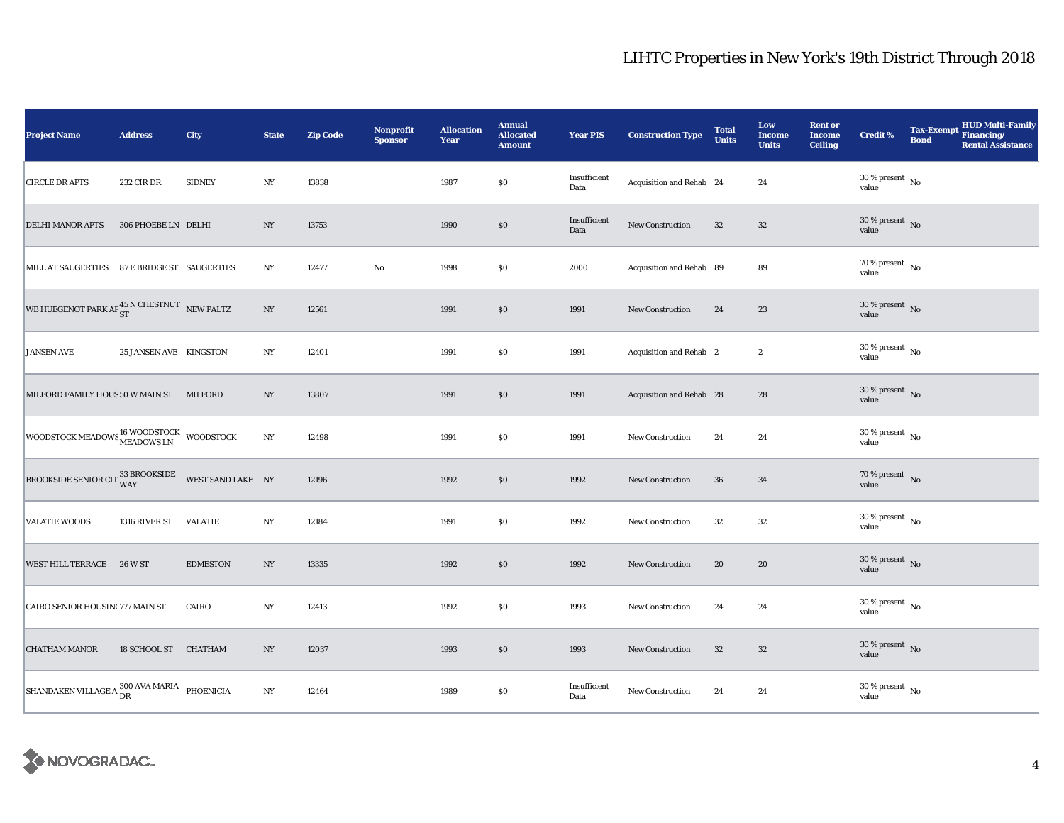| <b>Project Name</b>                                                       | <b>Address</b>         | City            | <b>State</b>     | <b>Zip Code</b> | <b>Nonprofit</b><br><b>Sponsor</b> | <b>Allocation</b><br>Year | <b>Annual</b><br><b>Allocated</b><br><b>Amount</b> | <b>Year PIS</b>      | <b>Construction Type</b> | <b>Total</b><br><b>Units</b> | Low<br>Income<br><b>Units</b> | <b>Rent or</b><br><b>Income</b><br><b>Ceiling</b> | <b>Credit %</b>                        | <b>Bond</b> | Tax-Exempt HUD Multi-Family<br><b>Rental Assistance</b> |
|---------------------------------------------------------------------------|------------------------|-----------------|------------------|-----------------|------------------------------------|---------------------------|----------------------------------------------------|----------------------|--------------------------|------------------------------|-------------------------------|---------------------------------------------------|----------------------------------------|-------------|---------------------------------------------------------|
| <b>CIRCLE DR APTS</b>                                                     | 232 CIR DR             | <b>SIDNEY</b>   | NY               | 13838           |                                    | 1987                      | \$0                                                | Insufficient<br>Data | Acquisition and Rehab 24 |                              | 24                            |                                                   | $30$ % present $\,$ No $\,$<br>value   |             |                                                         |
| <b>DELHI MANOR APTS</b>                                                   | 306 PHOEBE LN DELHI    |                 | NY               | 13753           |                                    | 1990                      | $\$0$                                              | Insufficient<br>Data | <b>New Construction</b>  | 32                           | $32\,$                        |                                                   | $30\,\%$ present $\,$ No value         |             |                                                         |
| MILL AT SAUGERTIES 87 E BRIDGE ST SAUGERTIES                              |                        |                 | NY               | 12477           | $\rm No$                           | 1998                      | \$0                                                | 2000                 | Acquisition and Rehab 89 |                              | 89                            |                                                   | $70$ % present $_{\, \rm No}$<br>value |             |                                                         |
| WB HUEGENOT PARK AF $^{45}_{\rm ST}$ N CHESTNUT NEW PALTZ                 |                        |                 | NY               | 12561           |                                    | 1991                      | \$0                                                | 1991                 | New Construction         | 24                           | 23                            |                                                   | $30\,\%$ present $\,$ No value         |             |                                                         |
| <b>JANSEN AVE</b>                                                         | 25 JANSEN AVE KINGSTON |                 | NY               | 12401           |                                    | 1991                      | \$0                                                | 1991                 | Acquisition and Rehab 2  |                              | $\boldsymbol{2}$              |                                                   | $30\,\%$ present $\,$ No value         |             |                                                         |
| MILFORD FAMILY HOUS 50 W MAIN ST MILFORD                                  |                        |                 | NY               | 13807           |                                    | 1991                      | \$0                                                | 1991                 | Acquisition and Rehab 28 |                              | 28                            |                                                   | $30\%$ present No<br>value             |             |                                                         |
| WOODSTOCK MEADOWS I6 WOODSTOCK WOODSTOCK                                  |                        |                 | $_{\mathrm{NY}}$ | 12498           |                                    | 1991                      | \$0                                                | 1991                 | New Construction         | 24                           | 24                            |                                                   | $30$ % present $\,$ No $\,$<br>value   |             |                                                         |
| BROOKSIDE SENIOR CIT $\frac{33 \text{ BROOKSIDE}}{WAY}$ WEST SAND LAKE NY |                        |                 |                  | 12196           |                                    | 1992                      | \$0                                                | 1992                 | <b>New Construction</b>  | 36                           | 34                            |                                                   | $70\,\%$ present $\,$ No value         |             |                                                         |
| <b>VALATIE WOODS</b>                                                      | 1316 RIVER ST VALATIE  |                 | NY               | 12184           |                                    | 1991                      | \$0                                                | 1992                 | New Construction         | 32                           | 32                            |                                                   | $30\,\%$ present $\,$ No $\,$<br>value |             |                                                         |
| WEST HILL TERRACE 26 W ST                                                 |                        | <b>EDMESTON</b> | NY               | 13335           |                                    | 1992                      | \$0                                                | 1992                 | New Construction         | 20                           | 20                            |                                                   | $30\,\%$ present $\,$ No value         |             |                                                         |
| CAIRO SENIOR HOUSIN(777 MAIN ST                                           |                        | CAIRO           | NY               | 12413           |                                    | 1992                      | \$0                                                | 1993                 | New Construction         | 24                           | 24                            |                                                   | $30$ % present $\,$ No $\,$<br>value   |             |                                                         |
| <b>CHATHAM MANOR</b>                                                      | 18 SCHOOL ST CHATHAM   |                 | NY               | 12037           |                                    | 1993                      | \$0                                                | 1993                 | New Construction         | 32                           | $32\,$                        |                                                   | $30$ % present $\,$ No $\,$<br>value   |             |                                                         |
| SHANDAKEN VILLAGE A 300 AVA MARIA PHOENICIA                               |                        |                 | $_{\mathrm{NY}}$ | 12464           |                                    | 1989                      | \$0                                                | Insufficient<br>Data | New Construction         | 24                           | 24                            |                                                   | $30\,\%$ present $\,$ No $\,$<br>value |             |                                                         |

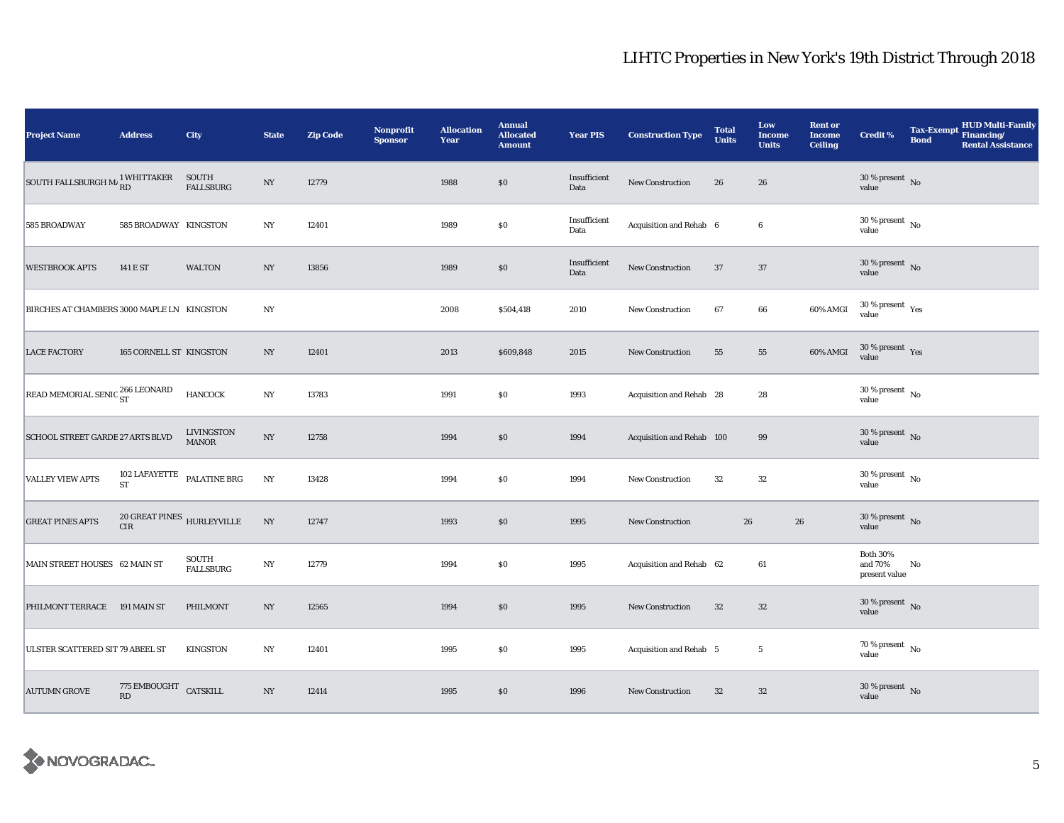| <b>Project Name</b>                                                                                                                                                                                                                                                                                                                                                                                                                                                                       | <b>Address</b>                           | City                                 | <b>State</b>     | <b>Zip Code</b> | Nonprofit<br><b>Sponsor</b> | <b>Allocation</b><br>Year | <b>Annual</b><br><b>Allocated</b><br><b>Amount</b> | <b>Year PIS</b>      | <b>Construction Type</b>  | <b>Total</b><br><b>Units</b> | Low<br><b>Income</b><br><b>Units</b> | <b>Rent or</b><br><b>Income</b><br><b>Ceiling</b> | Credit %                                    | <b>Bond</b> | <b>HUD Multi-Family</b><br>Tax-Exempt Financing/<br><b>Rental Assistance</b> |
|-------------------------------------------------------------------------------------------------------------------------------------------------------------------------------------------------------------------------------------------------------------------------------------------------------------------------------------------------------------------------------------------------------------------------------------------------------------------------------------------|------------------------------------------|--------------------------------------|------------------|-----------------|-----------------------------|---------------------------|----------------------------------------------------|----------------------|---------------------------|------------------------------|--------------------------------------|---------------------------------------------------|---------------------------------------------|-------------|------------------------------------------------------------------------------|
| $\begin{tabular}{ll} \multicolumn{2}{l}{{\small \textbf{SOUTH FALLSBURGH M}^1}} & \multicolumn{2}{l}{WHITTAKER} & \multicolumn{2}{l}{\small \textbf{SOUTH}} \\ \multicolumn{2}{l}{\small \textbf{SOUTH FALLSBURGH M}^1}} & \multicolumn{2}{l}{\small \textbf{R11}^1}} & \multicolumn{2}{l}{\small \textbf{SOUTH}} \\ \multicolumn{2}{l}{\small \textbf{SOUTH}} & \multicolumn{2}{l}{\small \textbf{R21}^1}} & \multicolumn{2}{l}{\small \textbf{SPI}} \\ \multicolumn{2}{l}{\small \text$ |                                          | <b>FALLSBURG</b>                     | $_{\mathrm{NY}}$ | 12779           |                             | 1988                      | $\$0$                                              | Insufficient<br>Data | New Construction          | 26                           | 26                                   |                                                   | $30\,\%$ present $\,$ No value              |             |                                                                              |
| 585 BROADWAY                                                                                                                                                                                                                                                                                                                                                                                                                                                                              | 585 BROADWAY KINGSTON                    |                                      | NY               | 12401           |                             | 1989                      | $\$0$                                              | Insufficient<br>Data | Acquisition and Rehab 6   |                              | $\bf 6$                              |                                                   | $30\,\%$ present $\,$ No value              |             |                                                                              |
| <b>WESTBROOK APTS</b>                                                                                                                                                                                                                                                                                                                                                                                                                                                                     | 141 E ST                                 | <b>WALTON</b>                        | NY               | 13856           |                             | 1989                      | \$0                                                | Insufficient<br>Data | New Construction          | 37                           | 37                                   |                                                   | $30\,\%$ present $\,$ No $\,$<br>value      |             |                                                                              |
| BIRCHES AT CHAMBERS 3000 MAPLE LN KINGSTON                                                                                                                                                                                                                                                                                                                                                                                                                                                |                                          |                                      | NY               |                 |                             | 2008                      | \$504,418                                          | 2010                 | <b>New Construction</b>   | 67                           | 66                                   | 60% AMGI                                          | $30\,\%$ present $\,$ Yes value             |             |                                                                              |
| <b>LACE FACTORY</b>                                                                                                                                                                                                                                                                                                                                                                                                                                                                       | 165 CORNELL ST KINGSTON                  |                                      | NY               | 12401           |                             | 2013                      | \$609,848                                          | 2015                 | New Construction          | 55                           | 55                                   | 60% AMGI                                          | $30\,\%$ present $\,$ Yes value             |             |                                                                              |
| READ MEMORIAL SENIC $_{\rm ST}^{266\ {\rm LEONARD}}$                                                                                                                                                                                                                                                                                                                                                                                                                                      |                                          | <b>HANCOCK</b>                       | $_{\mathrm{NY}}$ | 13783           |                             | 1991                      | $\$0$                                              | 1993                 | Acquisition and Rehab 28  |                              | 28                                   |                                                   | $30\,\%$ present $\,$ No $\,$<br>value      |             |                                                                              |
| SCHOOL STREET GARDE 27 ARTS BLVD                                                                                                                                                                                                                                                                                                                                                                                                                                                          |                                          | <b>LIVINGSTON</b><br><b>MANOR</b>    | $_{\mathrm{NY}}$ | 12758           |                             | 1994                      | \$0                                                | 1994                 | Acquisition and Rehab 100 |                              | 99                                   |                                                   | $30\,\%$ present $\,$ No value              |             |                                                                              |
| <b>VALLEY VIEW APTS</b>                                                                                                                                                                                                                                                                                                                                                                                                                                                                   |                                          | $102$ LAFAYETTE $\;$ PALATINE BRG ST | $_{\mathrm{NY}}$ | 13428           |                             | 1994                      | $\$0$                                              | 1994                 | <b>New Construction</b>   | 32                           | 32                                   |                                                   | $30\,\%$ present $\,$ No value              |             |                                                                              |
| <b>GREAT PINES APTS</b>                                                                                                                                                                                                                                                                                                                                                                                                                                                                   | $20$ GREAT PINES $$\tt HURLEYVILLE$$ CIR |                                      | $_{\mathrm{NY}}$ | 12747           |                             | 1993                      | \$0                                                | 1995                 | New Construction          | 26                           |                                      | 26                                                | $30\,\%$ present $\,$ No $\,$<br>value      |             |                                                                              |
| MAIN STREET HOUSES 62 MAIN ST                                                                                                                                                                                                                                                                                                                                                                                                                                                             |                                          | SOUTH<br><b>FALLSBURG</b>            | $_{\mathrm{NY}}$ | 12779           |                             | 1994                      | $\$0$                                              | 1995                 | Acquisition and Rehab 62  |                              | 61                                   |                                                   | <b>Both 30%</b><br>and 70%<br>present value | No          |                                                                              |
| PHILMONT TERRACE 191 MAIN ST                                                                                                                                                                                                                                                                                                                                                                                                                                                              |                                          | PHILMONT                             | NY               | 12565           |                             | 1994                      | $\$0$                                              | 1995                 | New Construction          | $32\,$                       | 32                                   |                                                   | $30\,\%$ present $\,$ No value              |             |                                                                              |
| <b>ULSTER SCATTERED SIT 79 ABEEL ST</b>                                                                                                                                                                                                                                                                                                                                                                                                                                                   |                                          | <b>KINGSTON</b>                      | $_{\mathrm{NY}}$ | 12401           |                             | 1995                      | $\$0$                                              | 1995                 | Acquisition and Rehab 5   |                              | $5\phantom{.0}$                      |                                                   | 70 % present $\hbox{~No}$<br>value          |             |                                                                              |
| <b>AUTUMN GROVE</b>                                                                                                                                                                                                                                                                                                                                                                                                                                                                       | $775$ EMBOUGHT $\,$ CATSKILL<br>RD       |                                      | $_{\mathrm{NY}}$ | 12414           |                             | 1995                      | \$0\$                                              | 1996                 | New Construction          | $32\,$                       | 32                                   |                                                   | $30\,\%$ present $\,$ No value              |             |                                                                              |

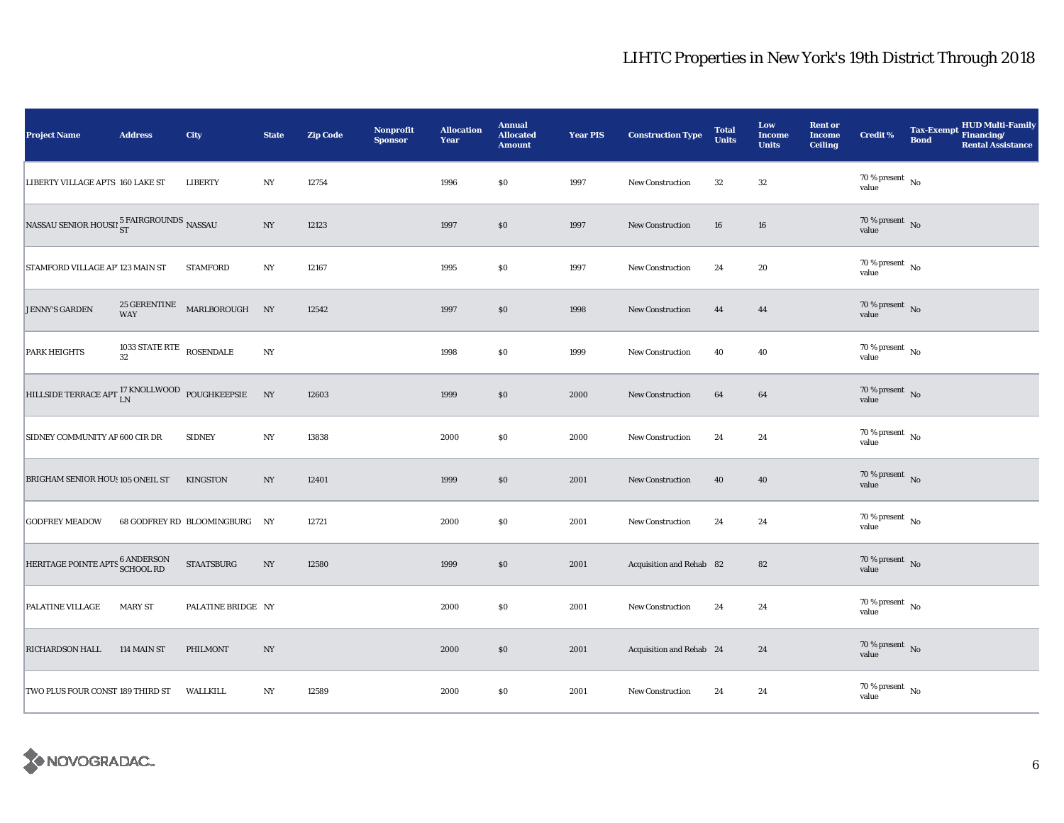| <b>Project Name</b>                                             | <b>Address</b>                 | City                          | <b>State</b>     | <b>Zip Code</b> | <b>Nonprofit</b><br><b>Sponsor</b> | <b>Allocation</b><br>Year | <b>Annual</b><br><b>Allocated</b><br><b>Amount</b> | <b>Year PIS</b> | <b>Construction Type</b> | <b>Total</b><br><b>Units</b> | Low<br><b>Income</b><br><b>Units</b> | <b>Rent or</b><br><b>Income</b><br><b>Ceiling</b> | <b>Credit %</b>                        | <b>Bond</b> | Tax-Exempt HUD Multi-Family<br><b>Rental Assistance</b> |
|-----------------------------------------------------------------|--------------------------------|-------------------------------|------------------|-----------------|------------------------------------|---------------------------|----------------------------------------------------|-----------------|--------------------------|------------------------------|--------------------------------------|---------------------------------------------------|----------------------------------------|-------------|---------------------------------------------------------|
| LIBERTY VILLAGE APTS 160 LAKE ST                                |                                | <b>LIBERTY</b>                | $_{\mathrm{NY}}$ | 12754           |                                    | 1996                      | $\$0$                                              | 1997            | <b>New Construction</b>  | $32\,$                       | $32\,$                               |                                                   | $70\,\%$ present $\,$ No value         |             |                                                         |
| NASSAU SENIOR HOUSII 5 FAIRGROUNDS NASSAU                       |                                |                               | NY               | 12123           |                                    | 1997                      | \$0                                                | 1997            | <b>New Construction</b>  | 16                           | 16                                   |                                                   | 70 % present $\overline{N_0}$<br>value |             |                                                         |
| STAMFORD VILLAGE AP' 123 MAIN ST                                |                                | <b>STAMFORD</b>               | NY               | 12167           |                                    | 1995                      | \$0                                                | 1997            | New Construction         | 24                           | 20                                   |                                                   | $70$ % present $\,$ No $\,$<br>value   |             |                                                         |
| <b>JENNY'S GARDEN</b>                                           | <b>WAY</b>                     | 25 GERENTINE MARLBOROUGH NY   |                  | 12542           |                                    | 1997                      | \$0                                                | 1998            | <b>New Construction</b>  | 44                           | 44                                   |                                                   | $70\,\%$ present $\,$ No value         |             |                                                         |
| <b>PARK HEIGHTS</b>                                             | 1033 STATE RTE ROSENDALE<br>32 |                               | $_{\mathrm{NY}}$ |                 |                                    | 1998                      | \$0                                                | 1999            | New Construction         | 40                           | 40                                   |                                                   | $70\,\%$ present $\,$ No value         |             |                                                         |
| HILLSIDE TERRACE APT $_{\rm LN}^{17}$ KNOLLWOOD POUGHKEEPSIE NY |                                |                               |                  | 12603           |                                    | 1999                      | \$0                                                | 2000            | New Construction         | 64                           | 64                                   |                                                   | $70\,\%$ present $\,$ No value         |             |                                                         |
| SIDNEY COMMUNITY AP 600 CIR DR                                  |                                | <b>SIDNEY</b>                 | NY               | 13838           |                                    | 2000                      | \$0                                                | 2000            | New Construction         | 24                           | 24                                   |                                                   | 70 % present $\hbox{~No}$<br>value     |             |                                                         |
| BRIGHAM SENIOR HOUS 105 ONEIL ST                                |                                | <b>KINGSTON</b>               | NY               | 12401           |                                    | 1999                      | \$0                                                | 2001            | New Construction         | 40                           | 40                                   |                                                   | $70\,\%$ present $\,$ No value         |             |                                                         |
| <b>GODFREY MEADOW</b>                                           |                                | 68 GODFREY RD BLOOMINGBURG NY |                  | 12721           |                                    | 2000                      | \$0                                                | 2001            | <b>New Construction</b>  | 24                           | 24                                   |                                                   | $70$ % present $\,$ No $\,$<br>value   |             |                                                         |
| HERITAGE POINTE APTS 6 ANDERSON<br>SCHOOL RD                    |                                | <b>STAATSBURG</b>             | $_{\mathrm{NY}}$ | 12580           |                                    | 1999                      | \$0\$                                              | 2001            | Acquisition and Rehab 82 |                              | 82                                   |                                                   | $70\,\%$ present $\,$ No value         |             |                                                         |
| <b>PALATINE VILLAGE</b>                                         | <b>MARY ST</b>                 | PALATINE BRIDGE NY            |                  |                 |                                    | 2000                      | ${\bf S0}$                                         | 2001            | <b>New Construction</b>  | 24                           | 24                                   |                                                   | $70\,\%$ present $\,$ No value         |             |                                                         |
| RICHARDSON HALL                                                 | 114 MAIN ST                    | PHILMONT                      | NY               |                 |                                    | 2000                      | \$0                                                | 2001            | Acquisition and Rehab 24 |                              | 24                                   |                                                   | $70\,\%$ present $\,$ No value         |             |                                                         |
| TWO PLUS FOUR CONST 189 THIRD ST                                |                                | WALLKILL                      | NY               | 12589           |                                    | 2000                      | S <sub>0</sub>                                     | 2001            | New Construction         | 24                           | 24                                   |                                                   | $70$ % present $\,$ No $\,$<br>value   |             |                                                         |